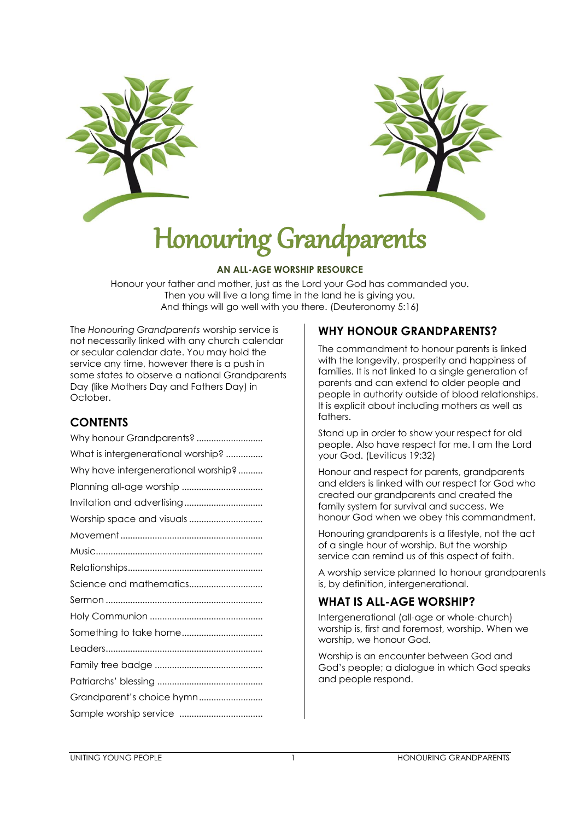



# Honouring Grandparents

#### **AN ALL-AGE WORSHIP RESOURCE**

Honour your father and mother, just as the Lord your God has commanded you. Then you will live a long time in the land he is giving you. And things will go well with you there. (Deuteronomy 5:16)

The *Honouring Grandparents* worship service is not necessarily linked with any church calendar or secular calendar date. You may hold the service any time, however there is a push in some states to observe a national Grandparents Day (like Mothers Day and Fathers Day) in October.

# **CONTENTS**

| Why honour Grandparents?            |  |  |
|-------------------------------------|--|--|
| What is intergenerational worship?  |  |  |
| Why have intergenerational worship? |  |  |
| Planning all-age worship            |  |  |
| Invitation and advertising          |  |  |
| Worship space and visuals           |  |  |
|                                     |  |  |
|                                     |  |  |
|                                     |  |  |
| Science and mathematics             |  |  |
|                                     |  |  |
|                                     |  |  |
| Something to take home              |  |  |
|                                     |  |  |
|                                     |  |  |
|                                     |  |  |
|                                     |  |  |
|                                     |  |  |

# **WHY HONOUR GRANDPARENTS?**

The commandment to honour parents is linked with the longevity, prosperity and happiness of families. It is not linked to a single generation of parents and can extend to older people and people in authority outside of blood relationships. It is explicit about including mothers as well as fathers.

Stand up in order to show your respect for old people. Also have respect for me. I am the Lord your God. (Leviticus 19:32)

Honour and respect for parents, grandparents and elders is linked with our respect for God who created our grandparents and created the family system for survival and success. We honour God when we obey this commandment.

Honouring grandparents is a lifestyle, not the act of a single hour of worship. But the worship service can remind us of this aspect of faith.

A worship service planned to honour grandparents is, by definition, intergenerational.

# **WHAT IS ALL-AGE WORSHIP?**

Intergenerational (all-age or whole-church) worship is, first and foremost, worship. When we worship, we honour God.

Worship is an encounter between God and God's people; a dialogue in which God speaks and people respond.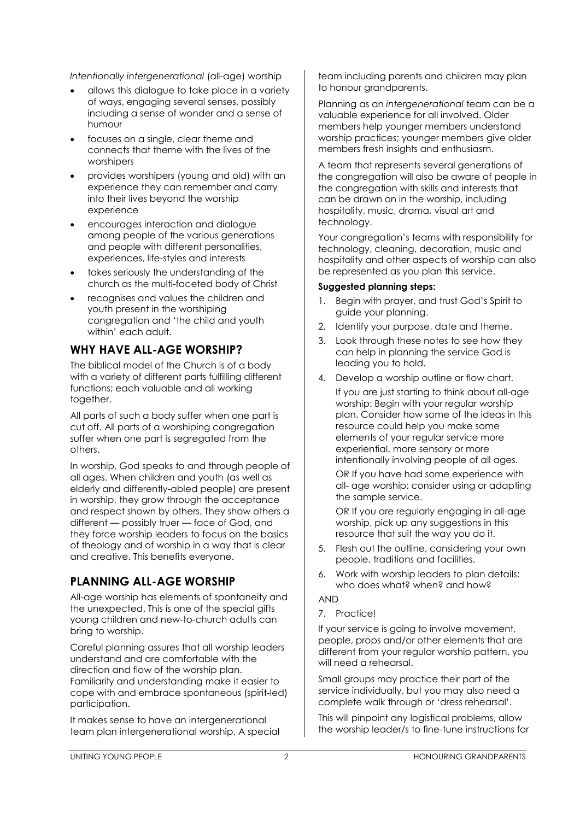*Intentionally intergenerational* (all-age) worship

- allows this dialogue to take place in a variety of ways, engaging several senses, possibly including a sense of wonder and a sense of humour
- focuses on a single, clear theme and connects that theme with the lives of the worshipers
- provides worshipers (young and old) with an experience they can remember and carry into their lives beyond the worship experience
- encourages interaction and dialogue among people of the various generations and people with different personalities, experiences, life-styles and interests
- takes seriously the understanding of the church as the multi-faceted body of Christ
- recognises and values the children and youth present in the worshiping congregation and 'the child and youth within' each adult.

## **WHY HAVE ALL-AGE WORSHIP?**

The biblical model of the Church is of a body with a variety of different parts fulfilling different functions; each valuable and all working together.

All parts of such a body suffer when one part is cut off. All parts of a worshiping congregation suffer when one part is segregated from the others.

In worship, God speaks to and through people of all ages. When children and youth (as well as elderly and differently-abled people) are present in worship, they grow through the acceptance and respect shown by others. They show others a different — possibly truer — face of God, and they force worship leaders to focus on the basics of theology and of worship in a way that is clear and creative. This benefits everyone.

#### **PLANNING ALL-AGE WORSHIP**

All-age worship has elements of spontaneity and the unexpected. This is one of the special gifts young children and new-to-church adults can bring to worship.

Careful planning assures that all worship leaders understand and are comfortable with the direction and flow of the worship plan. Familiarity and understanding make it easier to cope with and embrace spontaneous (spirit-led) participation.

It makes sense to have an intergenerational team plan intergenerational worship. A special team including parents and children may plan to honour arandparents.

Planning as an *intergenerational* team can be a valuable experience for all involved. Older members help younger members understand worship practices; younger members give older members fresh insights and enthusiasm.

A team that represents several generations of the congregation will also be aware of people in the congregation with skills and interests that can be drawn on in the worship, including hospitality, music, drama, visual art and technology.

Your congregation's teams with responsibility for technology, cleaning, decoration, music and hospitality and other aspects of worship can also be represented as you plan this service.

#### **Suggested planning steps:**

- 1. Begin with prayer, and trust God's Spirit to guide your planning.
- 2. Identify your purpose, date and theme.
- 3. Look through these notes to see how they can help in planning the service God is leading you to hold.
- 4. Develop a worship outline or flow chart.

If you are just starting to think about all-age worship: Begin with your regular worship plan. Consider how some of the ideas in this resource could help you make some elements of your regular service more experiential, more sensory or more intentionally involving people of all ages. OR If you have had some experience with all- age worship: consider using or adapting the sample service.

OR If you are regularly engaging in all-age worship, pick up any suggestions in this resource that suit the way you do it.

- 5. Flesh out the outline, considering your own people, traditions and facilities.
- 6. Work with worship leaders to plan details: who does what? when? and how?

#### AND

7. Practice!

If your service is going to involve movement, people, props and/or other elements that are different from your regular worship pattern, you will need a rehearsal.

Small groups may practice their part of the service individually, but you may also need a complete walk through or 'dress rehearsal'.

This will pinpoint any logistical problems, allow the worship leader/s to fine-tune instructions for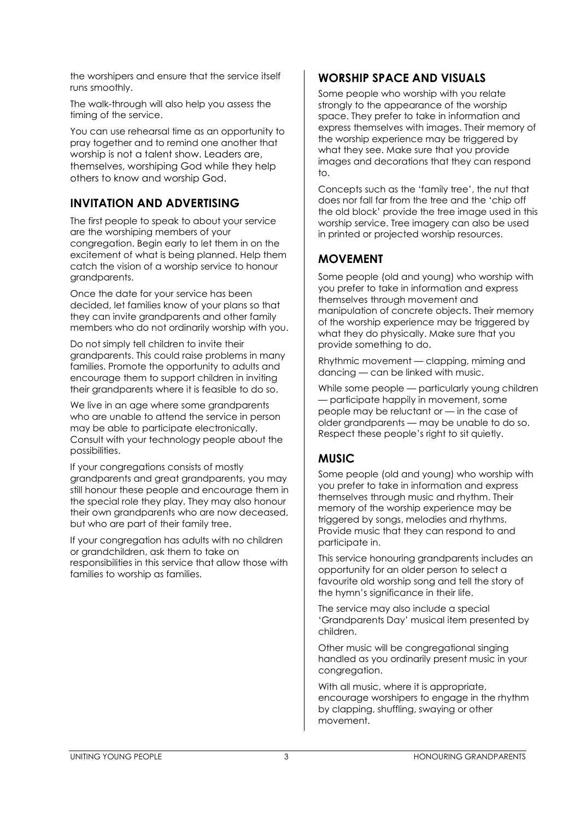the worshipers and ensure that the service itself runs smoothly.

The walk-through will also help you assess the timing of the service.

You can use rehearsal time as an opportunity to pray together and to remind one another that worship is not a talent show. Leaders are, themselves, worshiping God while they help others to know and worship God.

## **INVITATION AND ADVERTISING**

The first people to speak to about your service are the worshiping members of your congregation. Begin early to let them in on the excitement of what is being planned. Help them catch the vision of a worship service to honour grandparents.

Once the date for your service has been decided, let families know of your plans so that they can invite grandparents and other family members who do not ordinarily worship with you.

Do not simply tell children to invite their grandparents. This could raise problems in many families. Promote the opportunity to adults and encourage them to support children in inviting their grandparents where it is feasible to do so.

We live in an age where some grandparents who are unable to attend the service in person may be able to participate electronically. Consult with your technology people about the possibilities.

If your congregations consists of mostly grandparents and great grandparents, you may still honour these people and encourage them in the special role they play. They may also honour their own grandparents who are now deceased, but who are part of their family tree.

If your congregation has adults with no children or grandchildren, ask them to take on responsibilities in this service that allow those with families to worship as families.

### **WORSHIP SPACE AND VISUALS**

Some people who worship with you relate strongly to the appearance of the worship space. They prefer to take in information and express themselves with images. Their memory of the worship experience may be triggered by what they see. Make sure that you provide images and decorations that they can respond  $\overline{a}$ 

Concepts such as the 'family tree', the nut that does nor fall far from the tree and the 'chip off the old block' provide the tree image used in this worship service. Tree imagery can also be used in printed or projected worship resources.

## **MOVEMENT**

Some people (old and young) who worship with you prefer to take in information and express themselves through movement and manipulation of concrete objects. Their memory of the worship experience may be triggered by what they do physically. Make sure that you provide something to do.

Rhythmic movement — clapping, miming and dancing — can be linked with music.

While some people — particularly young children — participate happily in movement, some people may be reluctant or — in the case of older grandparents — may be unable to do so. Respect these people's right to sit quietly.

# **MUSIC**

Some people (old and young) who worship with you prefer to take in information and express themselves through music and rhythm. Their memory of the worship experience may be triggered by songs, melodies and rhythms. Provide music that they can respond to and participate in.

This service honouring grandparents includes an opportunity for an older person to select a favourite old worship song and tell the story of the hymn's significance in their life.

The service may also include a special 'Grandparents Day' musical item presented by children.

Other music will be congregational singing handled as you ordinarily present music in your congregation.

With all music, where it is appropriate, encourage worshipers to engage in the rhythm by clapping, shuffling, swaying or other movement.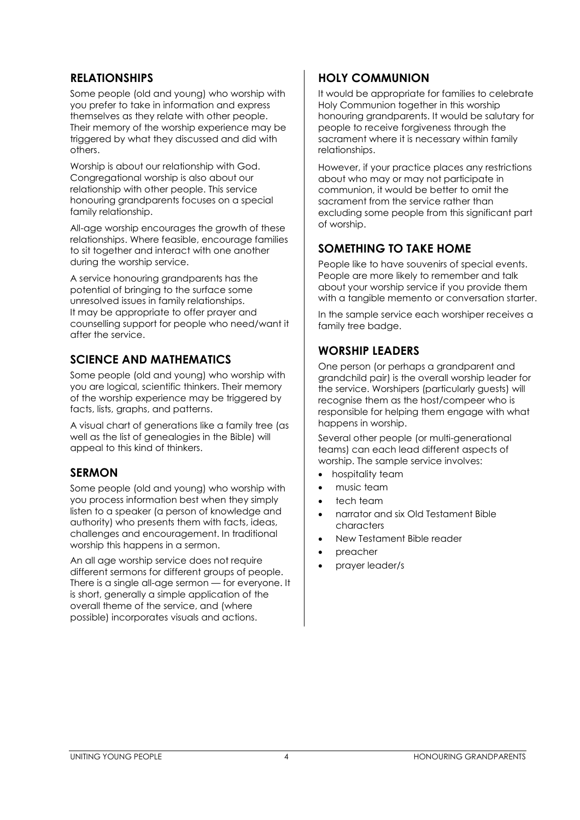#### **RELATIONSHIPS**

Some people (old and young) who worship with you prefer to take in information and express themselves as they relate with other people. Their memory of the worship experience may be triggered by what they discussed and did with others.

Worship is about our relationship with God. Congregational worship is also about our relationship with other people. This service honouring grandparents focuses on a special family relationship.

All-age worship encourages the growth of these relationships. Where feasible, encourage families to sit together and interact with one another during the worship service.

A service honouring grandparents has the potential of bringing to the surface some unresolved issues in family relationships. It may be appropriate to offer prayer and counselling support for people who need/want it after the service.

## **SCIENCE AND MATHEMATICS**

Some people (old and young) who worship with you are logical, scientific thinkers. Their memory of the worship experience may be triggered by facts, lists, graphs, and patterns.

A visual chart of generations like a family tree (as well as the list of genealogies in the Bible) will appeal to this kind of thinkers.

#### **SERMON**

Some people (old and young) who worship with you process information best when they simply listen to a speaker (a person of knowledge and authority) who presents them with facts, ideas, challenges and encouragement. In traditional worship this happens in a sermon.

An all age worship service does not require different sermons for different groups of people. There is a single all-age sermon — for everyone. It is short, generally a simple application of the overall theme of the service, and (where possible) incorporates visuals and actions.

#### **HOLY COMMUNION**

It would be appropriate for families to celebrate Holy Communion together in this worship honouring grandparents. It would be salutary for people to receive forgiveness through the sacrament where it is necessary within family relationships.

However, if your practice places any restrictions about who may or may not participate in communion, it would be better to omit the sacrament from the service rather than excluding some people from this significant part of worship.

## **SOMETHING TO TAKE HOME**

People like to have souvenirs of special events. People are more likely to remember and talk about your worship service if you provide them with a tangible memento or conversation starter.

In the sample service each worshiper receives a family tree badge.

#### **WORSHIP LEADERS**

One person (or perhaps a grandparent and grandchild pair) is the overall worship leader for the service. Worshipers (particularly guests) will recognise them as the host/compeer who is responsible for helping them engage with what happens in worship.

Several other people (or multi-generational teams) can each lead different aspects of worship. The sample service involves:

- hospitality team
- music team
- tech team
- narrator and six Old Testament Bible characters
- New Testament Bible reader
- preacher
- prayer leader/s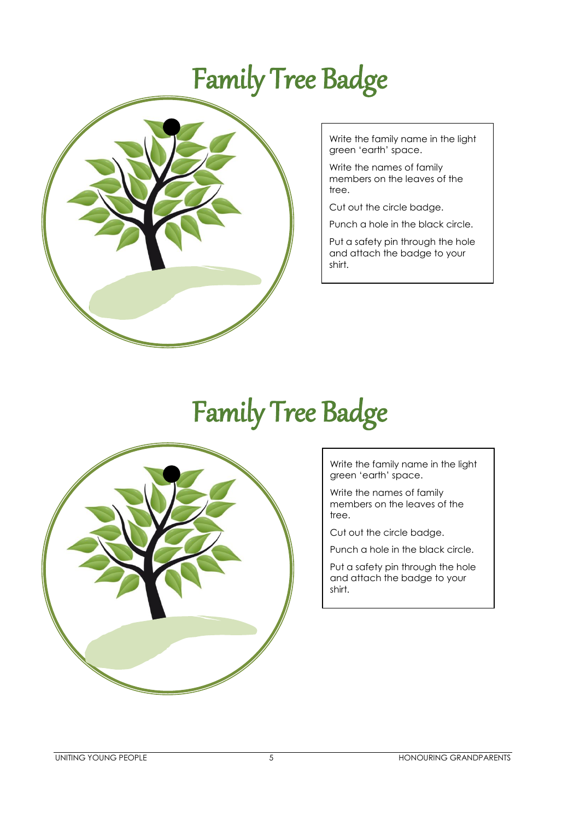# Family Tree Badge



Write the family name in the light green 'earth' space.

Write the names of family members on the leaves of the tree.

Cut out the circle badge.

Punch a hole in the black circle.

Put a safety pin through the hole and attach the badge to your shirt.

# Family Tree Badge



Write the family name in the light green 'earth' space.

Write the names of family members on the leaves of the tree.

Cut out the circle badge.

Punch a hole in the black circle.

Put a safety pin through the hole and attach the badge to your shirt.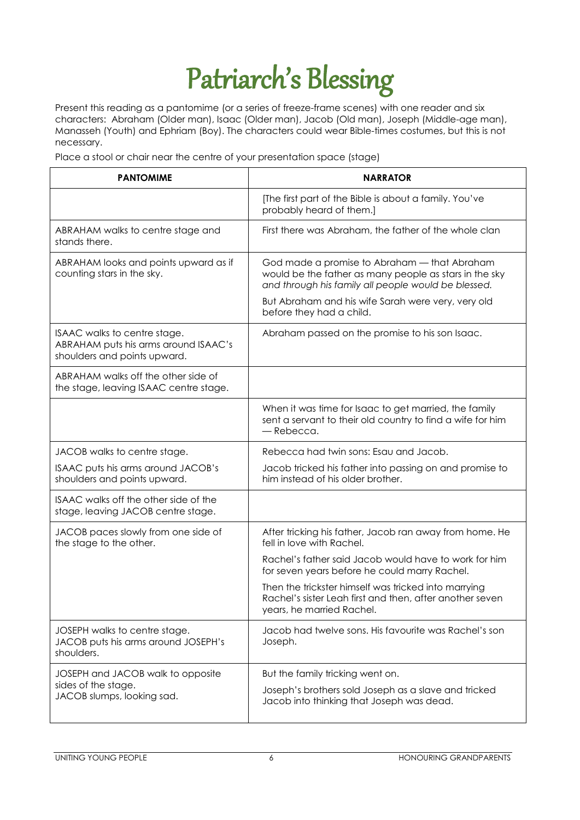# Patriarch's Blessing

Present this reading as a pantomime (or a series of freeze-frame scenes) with one reader and six characters: Abraham (Older man), Isaac (Older man), Jacob (Old man), Joseph (Middle-age man), Manasseh (Youth) and Ephriam (Boy). The characters could wear Bible-times costumes, but this is not necessary.

Place a stool or chair near the centre of your presentation space (stage)

| <b>PANTOMIME</b>                                                                                     | <b>NARRATOR</b>                                                                                                                                               |
|------------------------------------------------------------------------------------------------------|---------------------------------------------------------------------------------------------------------------------------------------------------------------|
|                                                                                                      | [The first part of the Bible is about a family. You've<br>probably heard of them.]                                                                            |
| ABRAHAM walks to centre stage and<br>stands there.                                                   | First there was Abraham, the father of the whole clan                                                                                                         |
| ABRAHAM looks and points upward as if<br>counting stars in the sky.                                  | God made a promise to Abraham - that Abraham<br>would be the father as many people as stars in the sky<br>and through his family all people would be blessed. |
|                                                                                                      | But Abraham and his wife Sarah were very, very old<br>before they had a child.                                                                                |
| ISAAC walks to centre stage.<br>ABRAHAM puts his arms around ISAAC's<br>shoulders and points upward. | Abraham passed on the promise to his son Isaac.                                                                                                               |
| ABRAHAM walks off the other side of<br>the stage, leaving ISAAC centre stage.                        |                                                                                                                                                               |
|                                                                                                      | When it was time for Isaac to get married, the family<br>sent a servant to their old country to find a wife for him<br>- Rebecca.                             |
| JACOB walks to centre stage.                                                                         | Rebecca had twin sons: Esau and Jacob.                                                                                                                        |
| ISAAC puts his arms around JACOB's<br>shoulders and points upward.                                   | Jacob tricked his father into passing on and promise to<br>him instead of his older brother.                                                                  |
| ISAAC walks off the other side of the<br>stage, leaving JACOB centre stage.                          |                                                                                                                                                               |
| JACOB paces slowly from one side of<br>the stage to the other.                                       | After tricking his father, Jacob ran away from home. He<br>fell in love with Rachel.                                                                          |
|                                                                                                      | Rachel's father said Jacob would have to work for him<br>for seven years before he could marry Rachel.                                                        |
|                                                                                                      | Then the trickster himself was tricked into marrying<br>Rachel's sister Leah first and then, after another seven<br>years, he married Rachel.                 |
| JOSEPH walks to centre stage.<br>JACOB puts his arms around JOSEPH's<br>shoulders.                   | Jacob had twelve sons. His favourite was Rachel's son<br>Joseph.                                                                                              |
| JOSEPH and JACOB walk to opposite                                                                    | But the family tricking went on.                                                                                                                              |
| sides of the stage.<br>JACOB slumps, looking sad.                                                    | Joseph's brothers sold Joseph as a slave and tricked<br>Jacob into thinking that Joseph was dead.                                                             |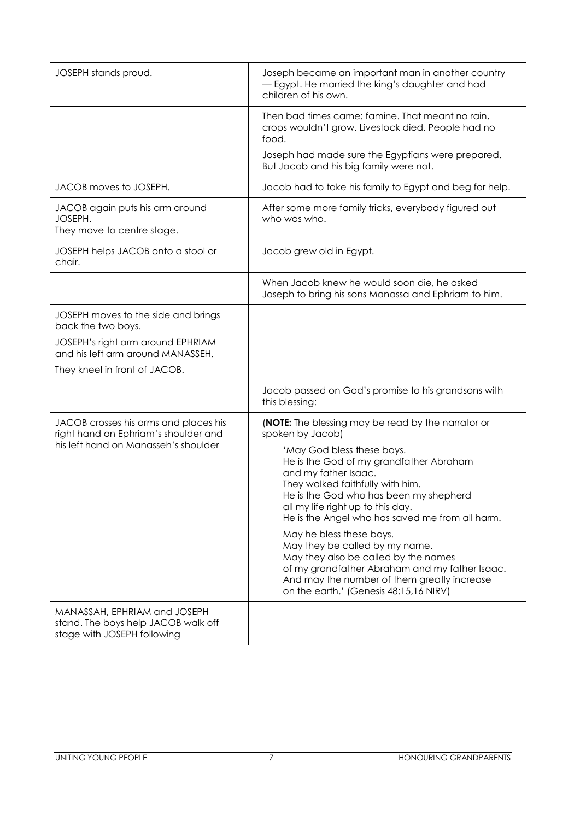| JOSEPH stands proud.                                                                                                  | Joseph became an important man in another country<br>- Egypt. He married the king's daughter and had<br>children of his own.                                                                                                                                        |
|-----------------------------------------------------------------------------------------------------------------------|---------------------------------------------------------------------------------------------------------------------------------------------------------------------------------------------------------------------------------------------------------------------|
|                                                                                                                       | Then bad times came: famine. That meant no rain,<br>crops wouldn't grow. Livestock died. People had no<br>food.                                                                                                                                                     |
|                                                                                                                       | Joseph had made sure the Egyptians were prepared.<br>But Jacob and his big family were not.                                                                                                                                                                         |
| JACOB moves to JOSEPH.                                                                                                | Jacob had to take his family to Egypt and beg for help.                                                                                                                                                                                                             |
| JACOB again puts his arm around<br>JOSEPH.<br>They move to centre stage.                                              | After some more family tricks, everybody figured out<br>who was who.                                                                                                                                                                                                |
| JOSEPH helps JACOB onto a stool or<br>chair.                                                                          | Jacob grew old in Egypt.                                                                                                                                                                                                                                            |
|                                                                                                                       | When Jacob knew he would soon die, he asked<br>Joseph to bring his sons Manassa and Ephriam to him.                                                                                                                                                                 |
| JOSEPH moves to the side and brings<br>back the two boys.                                                             |                                                                                                                                                                                                                                                                     |
| JOSEPH's right arm around EPHRIAM<br>and his left arm around MANASSEH.                                                |                                                                                                                                                                                                                                                                     |
| They kneel in front of JACOB.                                                                                         |                                                                                                                                                                                                                                                                     |
|                                                                                                                       | Jacob passed on God's promise to his grandsons with<br>this blessing:                                                                                                                                                                                               |
| JACOB crosses his arms and places his<br>right hand on Ephriam's shoulder and<br>his left hand on Manasseh's shoulder | <b>(NOTE:</b> The blessing may be read by the narrator or<br>spoken by Jacob)                                                                                                                                                                                       |
|                                                                                                                       | 'May God bless these boys.<br>He is the God of my grandfather Abraham<br>and my father Isaac.<br>They walked faithfully with him.<br>He is the God who has been my shepherd<br>all my life right up to this day.<br>He is the Angel who has saved me from all harm. |
|                                                                                                                       | May he bless these boys.<br>May they be called by my name.<br>May they also be called by the names<br>of my grandfather Abraham and my father Isaac.<br>And may the number of them greatly increase<br>on the earth.' (Genesis 48:15,16 NIRV)                       |
| MANASSAH, EPHRIAM and JOSEPH<br>stand. The boys help JACOB walk off<br>stage with JOSEPH following                    |                                                                                                                                                                                                                                                                     |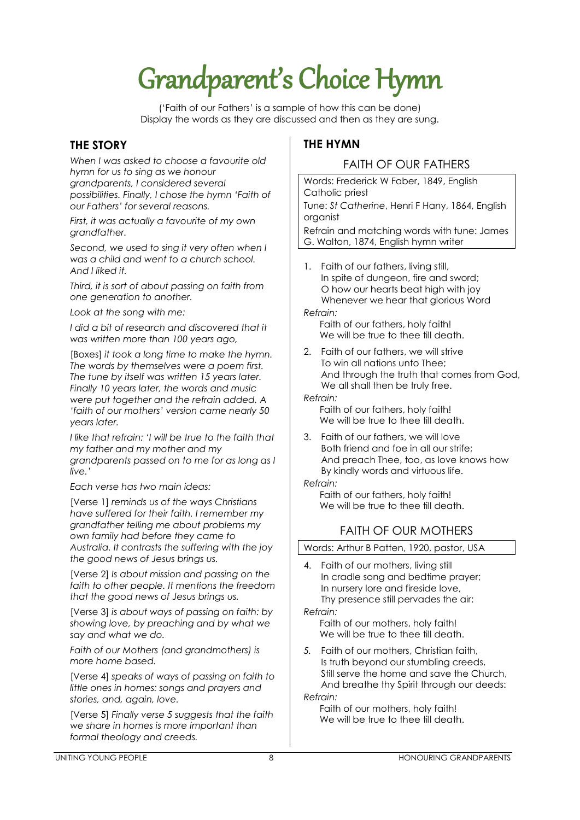# Grandparent's Choice Hymn

('Faith of our Fathers' is a sample of how this can be done) Display the words as they are discussed and then as they are sung.

### **THE STORY**

*When I was asked to choose a favourite old hymn for us to sing as we honour grandparents, I considered several possibilities. Finally, I chose the hymn 'Faith of our Fathers' for several reasons.*

*First, it was actually a favourite of my own grandfather.*

*Second, we used to sing it very often when I was a child and went to a church school. And I liked it.*

*Third, it is sort of about passing on faith from one generation to another.*

*Look at the song with me:*

*I did a bit of research and discovered that it was written more than 100 years ago,*

[Boxes] *it took a long time to make the hymn. The words by themselves were a poem first. The tune by itself was written 15 years later. Finally 10 years later, the words and music were put together and the refrain added. A 'faith of our mothers' version came nearly 50 years later.*

*I like that refrain: 'I will be true to the faith that my father and my mother and my grandparents passed on to me for as long as I live.'*

*Each verse has two main ideas:*

[Verse 1] *reminds us of the ways Christians have suffered for their faith. I remember my grandfather telling me about problems my own family had before they came to Australia. It contrasts the suffering with the joy the good news of Jesus brings us.*

[Verse 2] *Is about mission and passing on the faith to other people. It mentions the freedom that the good news of Jesus brings us.*

[Verse 3] *is about ways of passing on faith: by showing love, by preaching and by what we say and what we do.*

*Faith of our Mothers (and grandmothers) is more home based.*

[Verse 4] *speaks of ways of passing on faith to little ones in homes: songs and prayers and stories, and, again, love.*

[Verse 5] *Finally verse 5 suggests that the faith we share in homes is more important than formal theology and creeds.*

## **THE HYMN**

### FAITH OF OUR FATHERS

Words: Frederick W Faber, 1849, English Catholic priest Tune: *St Catherine*, Henri F Hany, 1864, English organist

Refrain and matching words with tune: James G. Walton, 1874, English hymn writer

1. Faith of our fathers, living still, In spite of dungeon, fire and sword; O how our hearts beat high with joy Whenever we hear that glorious Word *Refrain:*

Faith of our fathers, holy faith! We will be true to thee till death.

2. Faith of our fathers, we will strive To win all nations unto Thee; And through the truth that comes from God, We all shall then be truly free.

*Refrain:*

Faith of our fathers, holy faith! We will be true to thee till death.

3. Faith of our fathers, we will love Both friend and foe in all our strife; And preach Thee, too, as love knows how By kindly words and virtuous life.

*Refrain:*

Faith of our fathers, holy faith! We will be true to thee till death.

# FAITH OF OUR MOTHERS

Words: Arthur B Patten, 1920, pastor, USA

4. Faith of our mothers, living still In cradle song and bedtime prayer; In nursery lore and fireside love, Thy presence still pervades the air: *Refrain:*

Faith of our mothers, holy faith! We will be true to thee till death.

*5.* Faith of our mothers, Christian faith, Is truth beyond our stumbling creeds, Still serve the home and save the Church, And breathe thy Spirit through our deeds:

*Refrain:*

Faith of our mothers, holy faith! We will be true to thee till death.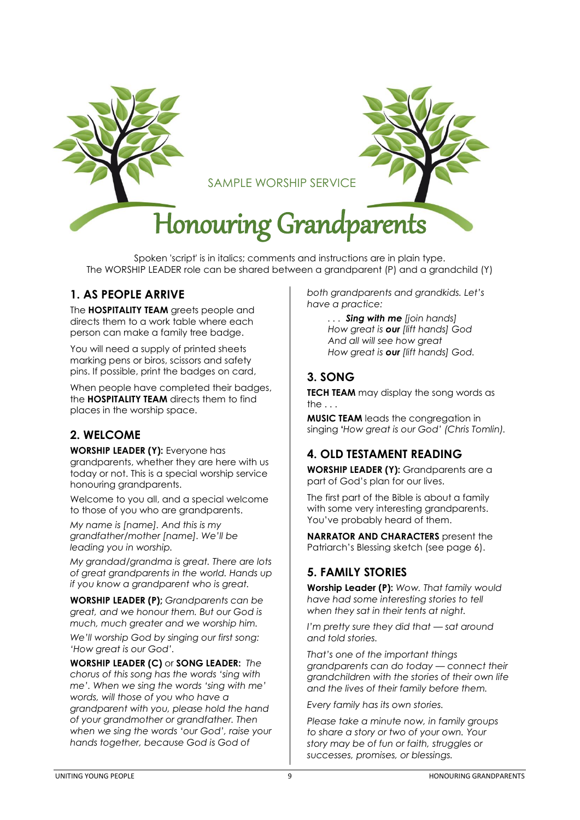

Spoken 'script' is in italics; comments and instructions are in plain type. The WORSHIP LEADER role can be shared between a grandparent (P) and a grandchild (Y)

## **1. AS PEOPLE ARRIVE**

The **HOSPITALITY TEAM** greets people and directs them to a work table where each person can make a family tree badge.

You will need a supply of printed sheets marking pens or biros, scissors and safety pins. If possible, print the badges on card,

When people have completed their badges, the **HOSPITALITY TEAM** directs them to find places in the worship space.

#### **2. WELCOME**

**WORSHIP LEADER (Y):** Everyone has grandparents, whether they are here with us today or not. This is a special worship service honouring grandparents.

Welcome to you all, and a special welcome to those of you who are grandparents.

*My name is [name]. And this is my grandfather/mother [name]. We'll be leading you in worship.*

*My grandad/grandma is great. There are lots of great grandparents in the world. Hands up if you know a grandparent who is great.*

**WORSHIP LEADER (P);** *Grandparents can be great, and we honour them. But our God is much, much greater and we worship him.*

*We'll worship God by singing our first song: 'How great is our God'.*

**WORSHIP LEADER (C)** or **SONG LEADER:** *The chorus of this song has the words 'sing with me'. When we sing the words 'sing with me' words, will those of you who have a grandparent with you, please hold the hand of your grandmother or grandfather. Then when we sing the words 'our God', raise your hands together, because God is God of* 

*both grandparents and grandkids. Let's have a practice:*

> *. . . Sing with me [join hands] How great is our [lift hands] God And all will see how great How great is our [lift hands] God.*

# **3. SONG**

**TECH TEAM** may display the song words as the . . .

**MUSIC TEAM** leads the congregation in singing **'***How great is our God' (Chris Tomlin).*

#### **4. OLD TESTAMENT READING**

**WORSHIP LEADER (Y):** Grandparents are a part of God's plan for our lives.

The first part of the Bible is about a family with some very interesting grandparents. You've probably heard of them.

**NARRATOR AND CHARACTERS** present the Patriarch's Blessing sketch (see page 6).

#### **5. FAMILY STORIES**

**Worship Leader (P):** *Wow. That family would have had some interesting stories to tell when they sat in their tents at night.* 

*I'm pretty sure they did that — sat around and told stories.*

*That's one of the important things grandparents can do today — connect their grandchildren with the stories of their own life and the lives of their family before them.*

*Every family has its own stories.*

*Please take a minute now, in family groups to share a story or two of your own. Your story may be of fun or faith, struggles or successes, promises, or blessings.*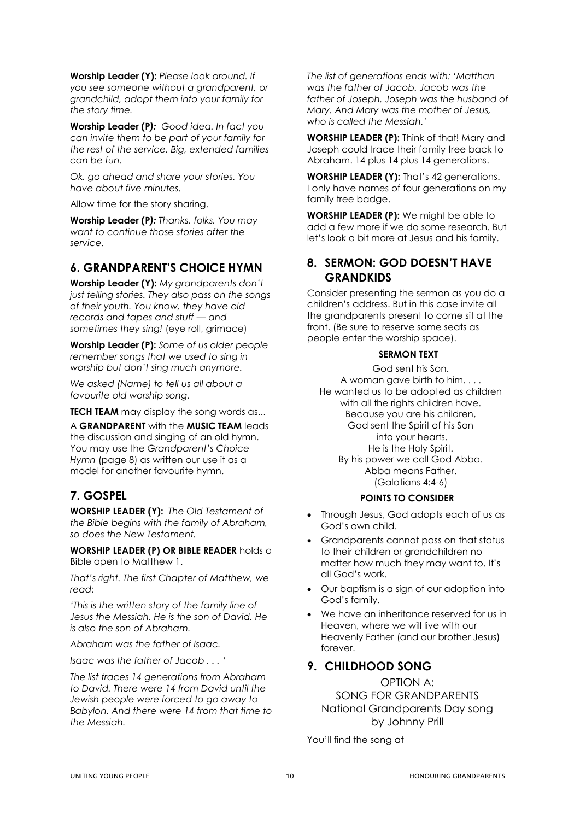**Worship Leader (Y):** *Please look around. If you see someone without a grandparent, or grandchild, adopt them into your family for the story time.*

**Worship Leader (P***): Good idea. In fact you can invite them to be part of your family for the rest of the service. Big, extended families can be fun.*

*Ok, go ahead and share your stories. You have about five minutes.*

Allow time for the story sharing.

**Worship Leader (P***): Thanks, folks. You may want to continue those stories after the service.*

#### **6. GRANDPARENT'S CHOICE HYMN**

**Worship Leader (Y):** *My grandparents don't just telling stories. They also pass on the songs of their youth. You know, they have old records and tapes and stuff — and sometimes they sing!* (eye roll, grimace)

**Worship Leader (P):** *Some of us older people remember songs that we used to sing in worship but don't sing much anymore.*

*We asked (Name) to tell us all about a favourite old worship song.*

**TECH TEAM** may display the song words as...

A **GRANDPARENT** with the **MUSIC TEAM** leads the discussion and singing of an old hymn. You may use the *Grandparent's Choice Hymn* (page 8) as written our use it as a model for another favourite hymn.

# **7. GOSPEL**

**WORSHIP LEADER (Y):** *The Old Testament of the Bible begins with the family of Abraham, so does the New Testament.*

**WORSHIP LEADER (P) OR BIBLE READER** holds a Bible open to Matthew 1.

*That's right. The first Chapter of Matthew, we read:*

*'This is the written story of the family line of Jesus the Messiah. He is the son of David. He is also the son of Abraham.*

*Abraham was the father of Isaac.*

*Isaac was the father of Jacob . . . '*

*The list traces 14 generations from Abraham to David. There were 14 from David until the Jewish people were forced to go away to Babylon. And there were 14 from that time to the Messiah.*

*The list of generations ends with: 'Matthan was the father of Jacob. Jacob was the father of Joseph. Joseph was the husband of Mary. And Mary was the mother of Jesus, who is called the Messiah.'*

**WORSHIP LEADER (P):** Think of that! Mary and Joseph could trace their family tree back to Abraham. 14 plus 14 plus 14 generations.

**WORSHIP LEADER (Y):** That's 42 generations. I only have names of four generations on my family tree badge.

**WORSHIP LEADER (P):** We might be able to add a few more if we do some research. But let's look a bit more at Jesus and his family.

#### **8. SERMON: GOD DOESN'T HAVE GRANDKIDS**

Consider presenting the sermon as you do a children's address. But in this case invite all the grandparents present to come sit at the front. (Be sure to reserve some seats as people enter the worship space).

#### **SERMON TEXT**

God sent his Son. A woman gave birth to him. . . . He wanted us to be adopted as children with all the rights children have. Because you are his children, God sent the Spirit of his Son into your hearts. He is the Holy Spirit. By his power we call God Abba. Abba means Father. (Galatians 4:4-6)

#### **POINTS TO CONSIDER**

- Through Jesus, God adopts each of us as God's own child.
- Grandparents cannot pass on that status to their children or grandchildren no matter how much they may want to. It's all God's work.
- Our baptism is a sign of our adoption into God's family.
- We have an inheritance reserved for us in Heaven, where we will live with our Heavenly Father (and our brother Jesus) forever.

#### **9. CHILDHOOD SONG**

OPTION A: SONG FOR GRANDPARENTS National Grandparents Day song by Johnny Prill

You'll find the song at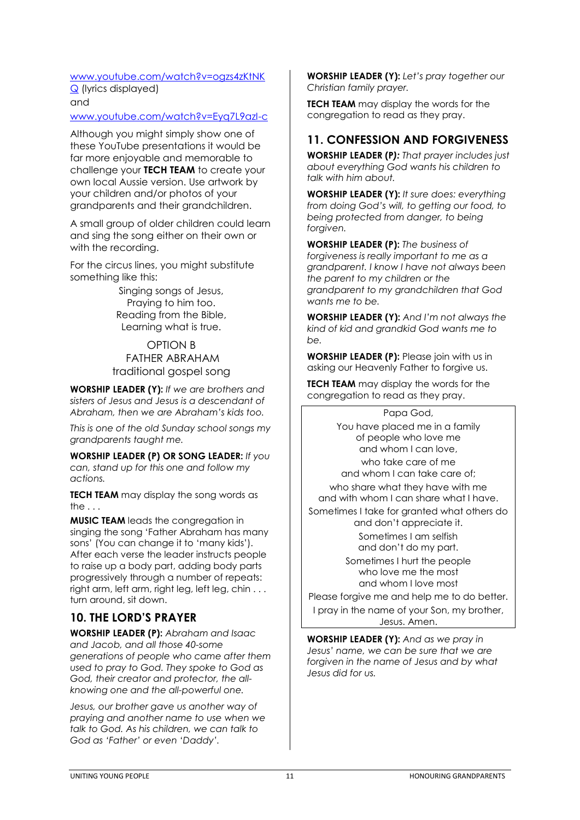#### [www.youtube.com/watch?v=ogzs4zKtNK](http://www.youtube.com/watch?v=ogzs4zKtNKQ)

[Q](http://www.youtube.com/watch?v=ogzs4zKtNKQ) (lyrics displayed) and

### [www.youtube.com/watch?v=Eyq7L9azI-c](http://www.youtube.com/watch?v=Eyq7L9azI-c)

Although you might simply show one of these YouTube presentations it would be far more enjoyable and memorable to challenge your **TECH TEAM** to create your own local Aussie version. Use artwork by your children and/or photos of your grandparents and their grandchildren.

A small group of older children could learn and sing the song either on their own or with the recording.

For the circus lines, you might substitute something like this:

> Singing songs of Jesus, Praying to him too. Reading from the Bible, Learning what is true.

#### OPTION B FATHER ABRAHAM traditional gospel song

**WORSHIP LEADER (Y):** *If we are brothers and sisters of Jesus and Jesus is a descendant of Abraham, then we are Abraham's kids too.*

*This is one of the old Sunday school songs my grandparents taught me.*

**WORSHIP LEADER (P) OR SONG LEADER:** *If you can, stand up for this one and follow my actions.*

**TECH TEAM** may display the song words as the  $\ldots$ 

**MUSIC TEAM** leads the congregation in singing the song 'Father Abraham has many sons' (You can change it to 'many kids'). After each verse the leader instructs people to raise up a body part, adding body parts progressively through a number of repeats: right arm, left arm, right leg, left leg, chin . . . turn around, sit down.

# **10. THE LORD'S PRAYER**

**WORSHIP LEADER (P):** *Abraham and Isaac and Jacob, and all those 40-some generations of people who came after them used to pray to God. They spoke to God as God, their creator and protector, the allknowing one and the all-powerful one.*

*Jesus, our brother gave us another way of praying and another name to use when we talk to God. As his children, we can talk to God as 'Father' or even 'Daddy'.*

**WORSHIP LEADER (Y):** *Let's pray together our Christian family prayer.*

**TECH TEAM** may display the words for the congregation to read as they pray.

### **11. CONFESSION AND FORGIVENESS**

**WORSHIP LEADER (P***): That prayer includes just about everything God wants his children to talk with him about.*

**WORSHIP LEADER (Y):** *It sure does: everything from doing God's will, to getting our food, to being protected from danger, to being forgiven.*

**WORSHIP LEADER (P):** *The business of forgiveness is really important to me as a grandparent. I know I have not always been the parent to my children or the grandparent to my grandchildren that God wants me to be.*

**WORSHIP LEADER (Y):** *And I'm not always the kind of kid and grandkid God wants me to be.*

**WORSHIP LEADER (P):** Please join with us in asking our Heavenly Father to forgive us.

**TECH TEAM** may display the words for the congregation to read as they pray.

> Papa God, You have placed me in a family of people who love me and whom I can love,

who take care of me and whom I can take care of; who share what they have with me

and with whom I can share what I have. Sometimes I take for granted what others do and don't appreciate it. Sometimes I am selfish

and don't do my part.

Sometimes I hurt the people who love me the most and whom I love most

Please forgive me and help me to do better. I pray in the name of your Son, my brother, Jesus. Amen.

**WORSHIP LEADER (Y):** *And as we pray in Jesus' name, we can be sure that we are forgiven in the name of Jesus and by what Jesus did for us.*